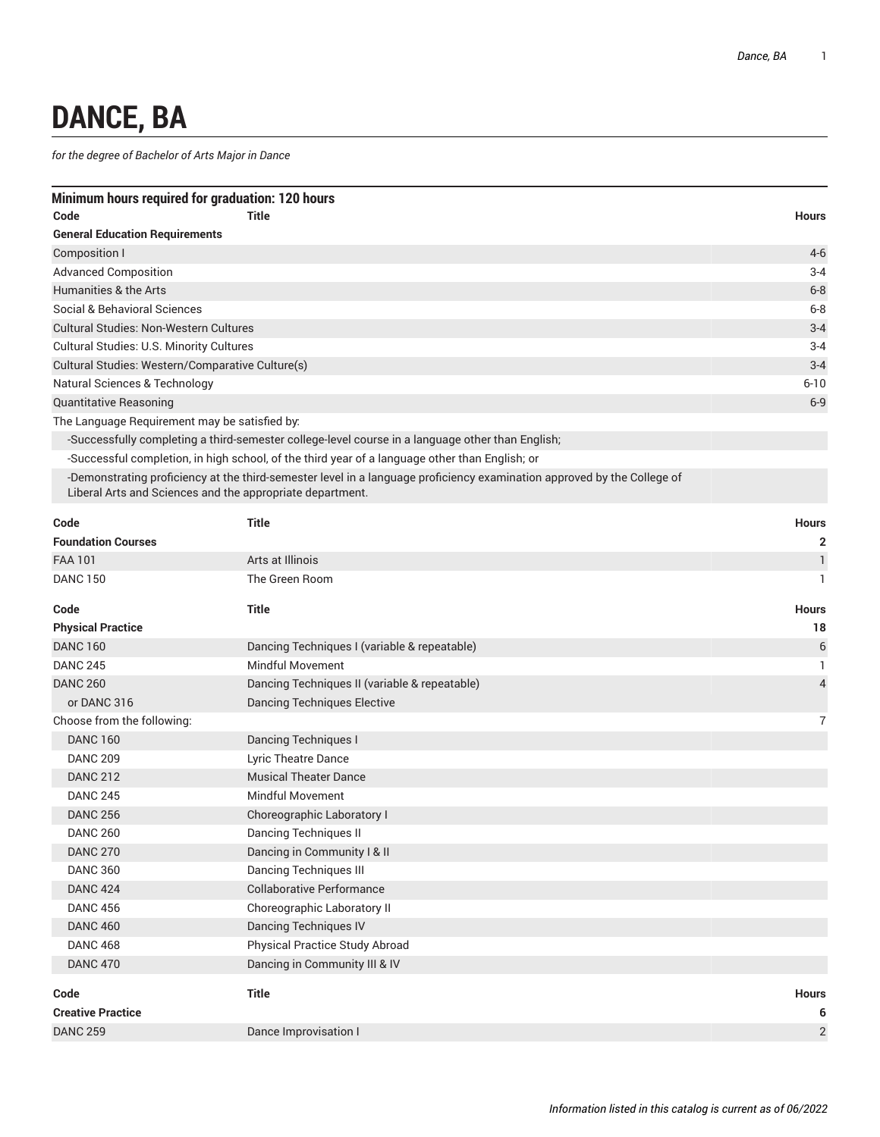## **DANCE, BA**

*for the degree of Bachelor of Arts Major in Dance*

| Minimum hours required for graduation: 120 hours |                                               |              |  |  |
|--------------------------------------------------|-----------------------------------------------|--------------|--|--|
| Code                                             | <b>Title</b>                                  | <b>Hours</b> |  |  |
| <b>General Education Requirements</b>            |                                               |              |  |  |
| Composition I                                    |                                               | $4-6$        |  |  |
| <b>Advanced Composition</b>                      |                                               | $3 - 4$      |  |  |
| Humanities & the Arts                            |                                               | $6 - 8$      |  |  |
| Social & Behavioral Sciences                     |                                               | $6 - 8$      |  |  |
| <b>Cultural Studies: Non-Western Cultures</b>    |                                               | $3 - 4$      |  |  |
| <b>Cultural Studies: U.S. Minority Cultures</b>  |                                               | $3 - 4$      |  |  |
| Cultural Studies: Western/Comparative Culture(s) |                                               | $3 - 4$      |  |  |
| Natural Sciences & Technology                    |                                               | $6 - 10$     |  |  |
| <b>Quantitative Reasoning</b>                    |                                               | $6-9$        |  |  |
|                                                  | The Language Requirement may be satisfied by: |              |  |  |

-Successfully completing a third-semester college-level course in a language other than English;

-Successful completion, in high school, of the third year of a language other than English; or

-Demonstrating proficiency at the third-semester level in a language proficiency examination approved by the College of Liberal Arts and Sciences and the appropriate department.

| Code                       | <b>Title</b>                                  | <b>Hours</b>   |
|----------------------------|-----------------------------------------------|----------------|
| <b>Foundation Courses</b>  |                                               | 2              |
| <b>FAA 101</b>             | Arts at Illinois                              | $\mathbf{1}$   |
| <b>DANC 150</b>            | The Green Room                                | $\mathbf{1}$   |
| Code                       | <b>Title</b>                                  | <b>Hours</b>   |
| <b>Physical Practice</b>   |                                               | 18             |
| <b>DANC 160</b>            | Dancing Techniques I (variable & repeatable)  | 6              |
| <b>DANC 245</b>            | <b>Mindful Movement</b>                       | $\mathbf{1}$   |
| <b>DANC 260</b>            | Dancing Techniques II (variable & repeatable) | $\overline{4}$ |
| or DANC 316                | <b>Dancing Techniques Elective</b>            |                |
| Choose from the following: |                                               | $\overline{7}$ |
| <b>DANC 160</b>            | <b>Dancing Techniques I</b>                   |                |
| <b>DANC 209</b>            | <b>Lyric Theatre Dance</b>                    |                |
| <b>DANC 212</b>            | <b>Musical Theater Dance</b>                  |                |
| <b>DANC 245</b>            | Mindful Movement                              |                |
| <b>DANC 256</b>            | Choreographic Laboratory I                    |                |
| <b>DANC 260</b>            | <b>Dancing Techniques II</b>                  |                |
| <b>DANC 270</b>            | Dancing in Community I & II                   |                |
| <b>DANC 360</b>            | <b>Dancing Techniques III</b>                 |                |
| <b>DANC 424</b>            | Collaborative Performance                     |                |
| <b>DANC 456</b>            | Choreographic Laboratory II                   |                |
| <b>DANC 460</b>            | <b>Dancing Techniques IV</b>                  |                |
| <b>DANC 468</b>            | Physical Practice Study Abroad                |                |
| <b>DANC 470</b>            | Dancing in Community III & IV                 |                |
| Code                       | <b>Title</b>                                  | <b>Hours</b>   |
| <b>Creative Practice</b>   |                                               | 6              |
| <b>DANC 259</b>            | Dance Improvisation I                         | $\overline{2}$ |